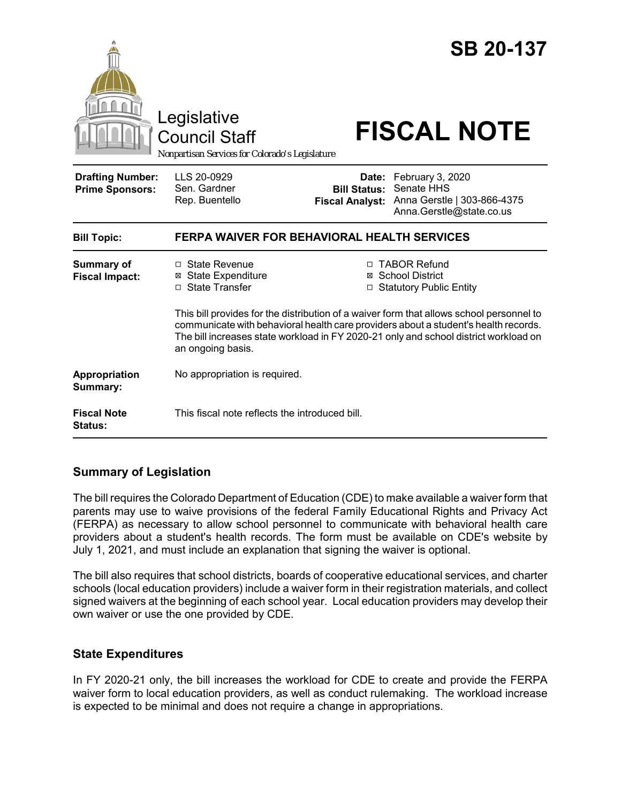|                                                   | Legislative<br><b>Council Staff</b><br>Nonpartisan Services for Colorado's Legislature                                                                                                                                                                                                                                                                                                                                                |                                                        | <b>SB 20-137</b><br><b>FISCAL NOTE</b>                                                    |
|---------------------------------------------------|---------------------------------------------------------------------------------------------------------------------------------------------------------------------------------------------------------------------------------------------------------------------------------------------------------------------------------------------------------------------------------------------------------------------------------------|--------------------------------------------------------|-------------------------------------------------------------------------------------------|
| <b>Drafting Number:</b><br><b>Prime Sponsors:</b> | LLS 20-0929<br>Sen. Gardner<br>Rep. Buentello                                                                                                                                                                                                                                                                                                                                                                                         | Date:<br><b>Bill Status:</b><br><b>Fiscal Analyst:</b> | February 3, 2020<br>Senate HHS<br>Anna Gerstle   303-866-4375<br>Anna.Gerstle@state.co.us |
| <b>Bill Topic:</b>                                | <b>FERPA WAIVER FOR BEHAVIORAL HEALTH SERVICES</b>                                                                                                                                                                                                                                                                                                                                                                                    |                                                        |                                                                                           |
| <b>Summary of</b><br><b>Fiscal Impact:</b>        | □ TABOR Refund<br>□ State Revenue<br>⊠ School District<br><b>⊠</b> State Expenditure<br>□ State Transfer<br>□ Statutory Public Entity<br>This bill provides for the distribution of a waiver form that allows school personnel to<br>communicate with behavioral health care providers about a student's health records.<br>The bill increases state workload in FY 2020-21 only and school district workload on<br>an ongoing basis. |                                                        |                                                                                           |
| Appropriation<br>Summary:                         | No appropriation is required.                                                                                                                                                                                                                                                                                                                                                                                                         |                                                        |                                                                                           |
| <b>Fiscal Note</b><br><b>Status:</b>              | This fiscal note reflects the introduced bill.                                                                                                                                                                                                                                                                                                                                                                                        |                                                        |                                                                                           |

# **Summary of Legislation**

The bill requires the Colorado Department of Education (CDE) to make available a waiver form that parents may use to waive provisions of the federal Family Educational Rights and Privacy Act (FERPA) as necessary to allow school personnel to communicate with behavioral health care providers about a student's health records. The form must be available on CDE's website by July 1, 2021, and must include an explanation that signing the waiver is optional.

The bill also requires that school districts, boards of cooperative educational services, and charter schools (local education providers) include a waiver form in their registration materials, and collect signed waivers at the beginning of each school year. Local education providers may develop their own waiver or use the one provided by CDE.

### **State Expenditures**

In FY 2020-21 only, the bill increases the workload for CDE to create and provide the FERPA waiver form to local education providers, as well as conduct rulemaking. The workload increase is expected to be minimal and does not require a change in appropriations.